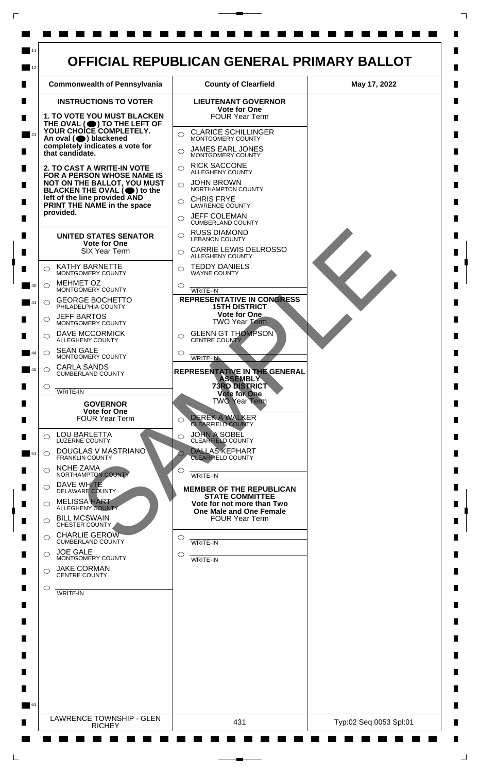

 $\Box$ 

 $\Box$